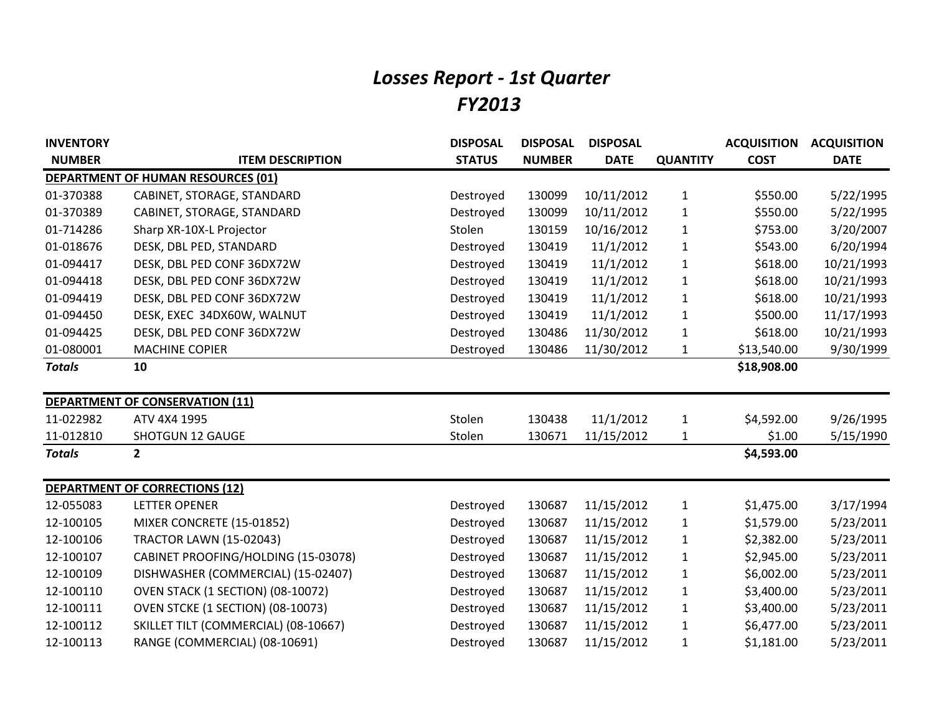## *Losses Report - 1st Quarter FY2013*

| <b>INVENTORY</b> |                                           | <b>DISPOSAL</b> | <b>DISPOSAL</b> | <b>DISPOSAL</b> |                 | <b>ACQUISITION</b> | <b>ACQUISITION</b> |
|------------------|-------------------------------------------|-----------------|-----------------|-----------------|-----------------|--------------------|--------------------|
| <b>NUMBER</b>    | <b>ITEM DESCRIPTION</b>                   | <b>STATUS</b>   | <b>NUMBER</b>   | <b>DATE</b>     | <b>QUANTITY</b> | <b>COST</b>        | <b>DATE</b>        |
|                  | <b>DEPARTMENT OF HUMAN RESOURCES (01)</b> |                 |                 |                 |                 |                    |                    |
| 01-370388        | CABINET, STORAGE, STANDARD                | Destroyed       | 130099          | 10/11/2012      | $\mathbf{1}$    | \$550.00           | 5/22/1995          |
| 01-370389        | CABINET, STORAGE, STANDARD                | Destroyed       | 130099          | 10/11/2012      | $\mathbf{1}$    | \$550.00           | 5/22/1995          |
| 01-714286        | Sharp XR-10X-L Projector                  | Stolen          | 130159          | 10/16/2012      | $\mathbf{1}$    | \$753.00           | 3/20/2007          |
| 01-018676        | DESK, DBL PED, STANDARD                   | Destroyed       | 130419          | 11/1/2012       | $\mathbf{1}$    | \$543.00           | 6/20/1994          |
| 01-094417        | DESK, DBL PED CONF 36DX72W                | Destroyed       | 130419          | 11/1/2012       | $\mathbf{1}$    | \$618.00           | 10/21/1993         |
| 01-094418        | DESK, DBL PED CONF 36DX72W                | Destroyed       | 130419          | 11/1/2012       | $\mathbf{1}$    | \$618.00           | 10/21/1993         |
| 01-094419        | DESK, DBL PED CONF 36DX72W                | Destroyed       | 130419          | 11/1/2012       | $\mathbf{1}$    | \$618.00           | 10/21/1993         |
| 01-094450        | DESK, EXEC 34DX60W, WALNUT                | Destroyed       | 130419          | 11/1/2012       | $\mathbf{1}$    | \$500.00           | 11/17/1993         |
| 01-094425        | DESK, DBL PED CONF 36DX72W                | Destroyed       | 130486          | 11/30/2012      | $\mathbf{1}$    | \$618.00           | 10/21/1993         |
| 01-080001        | <b>MACHINE COPIER</b>                     | Destroyed       | 130486          | 11/30/2012      | 1               | \$13,540.00        | 9/30/1999          |
| <b>Totals</b>    | 10                                        |                 |                 |                 |                 | \$18,908.00        |                    |
|                  |                                           |                 |                 |                 |                 |                    |                    |
|                  | DEPARTMENT OF CONSERVATION (11)           |                 |                 |                 |                 |                    |                    |
| 11-022982        | ATV 4X4 1995                              | Stolen          | 130438          | 11/1/2012       | $\mathbf{1}$    | \$4,592.00         | 9/26/1995          |
| 11-012810        | <b>SHOTGUN 12 GAUGE</b>                   | Stolen          | 130671          | 11/15/2012      | $\mathbf{1}$    | \$1.00             | 5/15/1990          |
| <b>Totals</b>    | $\mathbf{2}$                              |                 |                 |                 |                 | \$4,593.00         |                    |
|                  |                                           |                 |                 |                 |                 |                    |                    |
|                  | <b>DEPARTMENT OF CORRECTIONS (12)</b>     |                 |                 |                 |                 |                    |                    |
| 12-055083        | <b>LETTER OPENER</b>                      | Destroyed       | 130687          | 11/15/2012      | $\mathbf{1}$    | \$1,475.00         | 3/17/1994          |
| 12-100105        | MIXER CONCRETE (15-01852)                 | Destroyed       | 130687          | 11/15/2012      | $\mathbf{1}$    | \$1,579.00         | 5/23/2011          |
| 12-100106        | <b>TRACTOR LAWN (15-02043)</b>            | Destroyed       | 130687          | 11/15/2012      | $\mathbf{1}$    | \$2,382.00         | 5/23/2011          |
| 12-100107        | CABINET PROOFING/HOLDING (15-03078)       | Destroyed       | 130687          | 11/15/2012      | $\mathbf{1}$    | \$2,945.00         | 5/23/2011          |
| 12-100109        | DISHWASHER (COMMERCIAL) (15-02407)        | Destroyed       | 130687          | 11/15/2012      | $\mathbf{1}$    | \$6,002.00         | 5/23/2011          |
| 12-100110        | OVEN STACK (1 SECTION) (08-10072)         | Destroyed       | 130687          | 11/15/2012      | $\mathbf{1}$    | \$3,400.00         | 5/23/2011          |
| 12-100111        | OVEN STCKE (1 SECTION) (08-10073)         | Destroyed       | 130687          | 11/15/2012      | $\mathbf{1}$    | \$3,400.00         | 5/23/2011          |
| 12-100112        | SKILLET TILT (COMMERCIAL) (08-10667)      | Destroyed       | 130687          | 11/15/2012      | $\mathbf{1}$    | \$6,477.00         | 5/23/2011          |
| 12-100113        | RANGE (COMMERCIAL) (08-10691)             | Destroyed       | 130687          | 11/15/2012      | $\mathbf{1}$    | \$1,181.00         | 5/23/2011          |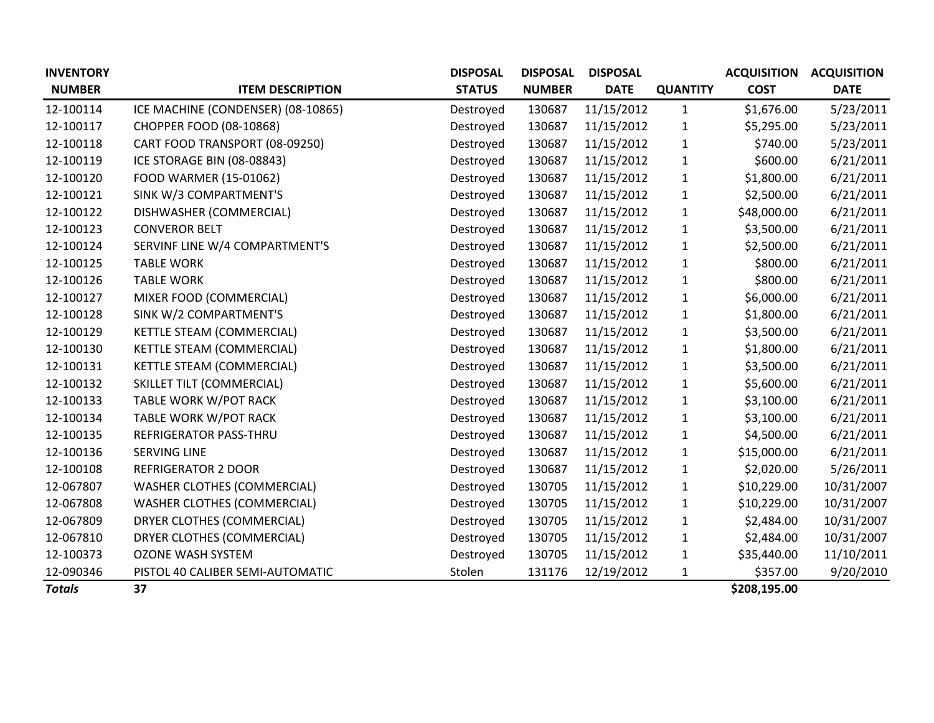| <b>INVENTORY</b> |                                    | <b>DISPOSAL</b> | <b>DISPOSAL</b> | <b>DISPOSAL</b> |                 | <b>ACQUISITION</b> | <b>ACQUISITION</b> |
|------------------|------------------------------------|-----------------|-----------------|-----------------|-----------------|--------------------|--------------------|
| <b>NUMBER</b>    | <b>ITEM DESCRIPTION</b>            | <b>STATUS</b>   | <b>NUMBER</b>   | <b>DATE</b>     | <b>QUANTITY</b> | <b>COST</b>        | <b>DATE</b>        |
| 12-100114        | ICE MACHINE (CONDENSER) (08-10865) | Destroyed       | 130687          | 11/15/2012      | $\mathbf{1}$    | \$1,676.00         | 5/23/2011          |
| 12-100117        | CHOPPER FOOD (08-10868)            | Destroyed       | 130687          | 11/15/2012      | $\mathbf{1}$    | \$5,295.00         | 5/23/2011          |
| 12-100118        | CART FOOD TRANSPORT (08-09250)     | Destroyed       | 130687          | 11/15/2012      | 1               | \$740.00           | 5/23/2011          |
| 12-100119        | ICE STORAGE BIN (08-08843)         | Destroyed       | 130687          | 11/15/2012      | 1               | \$600.00           | 6/21/2011          |
| 12-100120        | FOOD WARMER (15-01062)             | Destroyed       | 130687          | 11/15/2012      | 1               | \$1,800.00         | 6/21/2011          |
| 12-100121        | SINK W/3 COMPARTMENT'S             | Destroyed       | 130687          | 11/15/2012      | 1               | \$2,500.00         | 6/21/2011          |
| 12-100122        | DISHWASHER (COMMERCIAL)            | Destroyed       | 130687          | 11/15/2012      | 1               | \$48,000.00        | 6/21/2011          |
| 12-100123        | <b>CONVEROR BELT</b>               | Destroyed       | 130687          | 11/15/2012      | 1               | \$3,500.00         | 6/21/2011          |
| 12-100124        | SERVINF LINE W/4 COMPARTMENT'S     | Destroyed       | 130687          | 11/15/2012      | 1               | \$2,500.00         | 6/21/2011          |
| 12-100125        | <b>TABLE WORK</b>                  | Destroyed       | 130687          | 11/15/2012      | 1               | \$800.00           | 6/21/2011          |
| 12-100126        | <b>TABLE WORK</b>                  | Destroyed       | 130687          | 11/15/2012      | 1               | \$800.00           | 6/21/2011          |
| 12-100127        | MIXER FOOD (COMMERCIAL)            | Destroyed       | 130687          | 11/15/2012      | 1               | \$6,000.00         | 6/21/2011          |
| 12-100128        | SINK W/2 COMPARTMENT'S             | Destroyed       | 130687          | 11/15/2012      | 1               | \$1,800.00         | 6/21/2011          |
| 12-100129        | KETTLE STEAM (COMMERCIAL)          | Destroyed       | 130687          | 11/15/2012      | 1               | \$3,500.00         | 6/21/2011          |
| 12-100130        | KETTLE STEAM (COMMERCIAL)          | Destroyed       | 130687          | 11/15/2012      | $\mathbf{1}$    | \$1,800.00         | 6/21/2011          |
| 12-100131        | KETTLE STEAM (COMMERCIAL)          | Destroyed       | 130687          | 11/15/2012      | $\mathbf{1}$    | \$3,500.00         | 6/21/2011          |
| 12-100132        | SKILLET TILT (COMMERCIAL)          | Destroyed       | 130687          | 11/15/2012      | $\mathbf{1}$    | \$5,600.00         | 6/21/2011          |
| 12-100133        | TABLE WORK W/POT RACK              | Destroyed       | 130687          | 11/15/2012      | $\mathbf{1}$    | \$3,100.00         | 6/21/2011          |
| 12-100134        | TABLE WORK W/POT RACK              | Destroyed       | 130687          | 11/15/2012      | $\mathbf 1$     | \$3,100.00         | 6/21/2011          |
| 12-100135        | REFRIGERATOR PASS-THRU             | Destroyed       | 130687          | 11/15/2012      | 1               | \$4,500.00         | 6/21/2011          |
| 12-100136        | <b>SERVING LINE</b>                | Destroyed       | 130687          | 11/15/2012      | 1               | \$15,000.00        | 6/21/2011          |
| 12-100108        | <b>REFRIGERATOR 2 DOOR</b>         | Destroyed       | 130687          | 11/15/2012      | 1               | \$2,020.00         | 5/26/2011          |
| 12-067807        | <b>WASHER CLOTHES (COMMERCIAL)</b> | Destroyed       | 130705          | 11/15/2012      | 1               | \$10,229.00        | 10/31/2007         |
| 12-067808        | <b>WASHER CLOTHES (COMMERCIAL)</b> | Destroyed       | 130705          | 11/15/2012      | $\mathbf{1}$    | \$10,229.00        | 10/31/2007         |
| 12-067809        | DRYER CLOTHES (COMMERCIAL)         | Destroyed       | 130705          | 11/15/2012      | $\mathbf{1}$    | \$2,484.00         | 10/31/2007         |
| 12-067810        | DRYER CLOTHES (COMMERCIAL)         | Destroyed       | 130705          | 11/15/2012      | 1               | \$2,484.00         | 10/31/2007         |
| 12-100373        | <b>OZONE WASH SYSTEM</b>           | Destroyed       | 130705          | 11/15/2012      | 1               | \$35,440.00        | 11/10/2011         |
| 12-090346        | PISTOL 40 CALIBER SEMI-AUTOMATIC   | Stolen          | 131176          | 12/19/2012      | 1               | \$357.00           | 9/20/2010          |
| <b>Totals</b>    | 37                                 |                 |                 |                 |                 | \$208,195.00       |                    |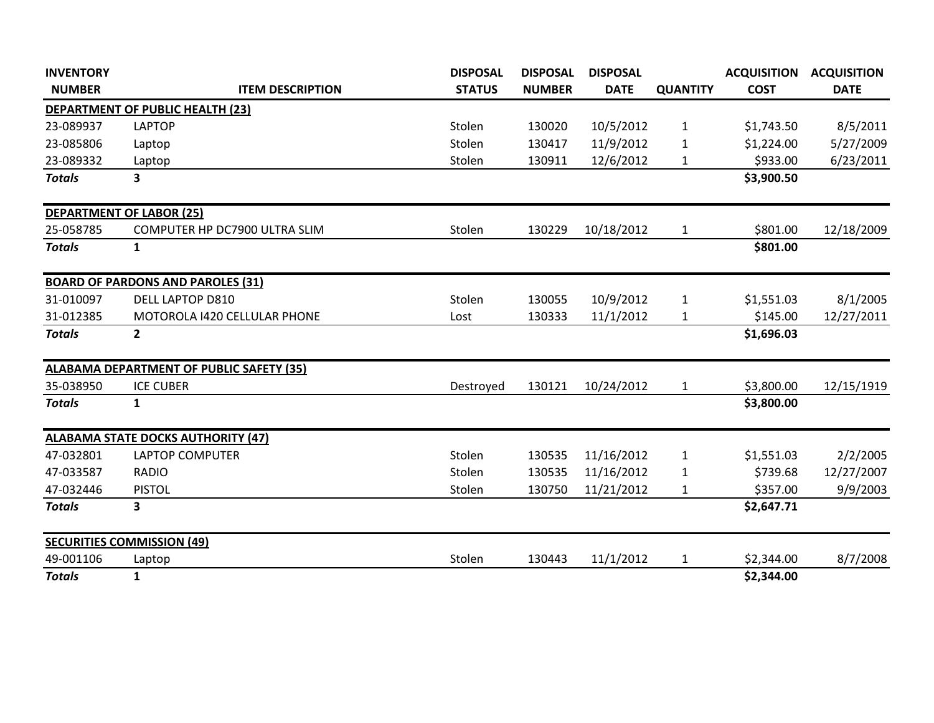| <b>INVENTORY</b> |                                                 | <b>DISPOSAL</b> | <b>DISPOSAL</b> | <b>DISPOSAL</b> |                 | <b>ACQUISITION</b> | <b>ACQUISITION</b> |
|------------------|-------------------------------------------------|-----------------|-----------------|-----------------|-----------------|--------------------|--------------------|
| <b>NUMBER</b>    | <b>ITEM DESCRIPTION</b>                         | <b>STATUS</b>   | <b>NUMBER</b>   | <b>DATE</b>     | <b>QUANTITY</b> | <b>COST</b>        | <b>DATE</b>        |
|                  | <b>DEPARTMENT OF PUBLIC HEALTH (23)</b>         |                 |                 |                 |                 |                    |                    |
| 23-089937        | <b>LAPTOP</b>                                   | Stolen          | 130020          | 10/5/2012       | $\mathbf{1}$    | \$1,743.50         | 8/5/2011           |
| 23-085806        | Laptop                                          | Stolen          | 130417          | 11/9/2012       | 1               | \$1,224.00         | 5/27/2009          |
| 23-089332        | Laptop                                          | Stolen          | 130911          | 12/6/2012       | 1               | \$933.00           | 6/23/2011          |
| <b>Totals</b>    | 3                                               |                 |                 |                 |                 | \$3,900.50         |                    |
|                  | <b>DEPARTMENT OF LABOR (25)</b>                 |                 |                 |                 |                 |                    |                    |
| 25-058785        | COMPUTER HP DC7900 ULTRA SLIM                   | Stolen          | 130229          | 10/18/2012      | $\mathbf{1}$    | \$801.00           | 12/18/2009         |
| <b>Totals</b>    | 1                                               |                 |                 |                 |                 | \$801.00           |                    |
|                  | <b>BOARD OF PARDONS AND PAROLES (31)</b>        |                 |                 |                 |                 |                    |                    |
| 31-010097        | <b>DELL LAPTOP D810</b>                         | Stolen          | 130055          | 10/9/2012       | $\mathbf{1}$    | \$1,551.03         | 8/1/2005           |
| 31-012385        | <b>MOTOROLA 1420 CELLULAR PHONE</b>             | Lost            | 130333          | 11/1/2012       | 1               | \$145.00           | 12/27/2011         |
| <b>Totals</b>    | $\overline{2}$                                  |                 |                 |                 |                 | \$1,696.03         |                    |
|                  | <b>ALABAMA DEPARTMENT OF PUBLIC SAFETY (35)</b> |                 |                 |                 |                 |                    |                    |
| 35-038950        | <b>ICE CUBER</b>                                | Destroyed       | 130121          | 10/24/2012      | $\mathbf{1}$    | \$3,800.00         | 12/15/1919         |
| <b>Totals</b>    | $\mathbf{1}$                                    |                 |                 |                 |                 | \$3,800.00         |                    |
|                  | <b>ALABAMA STATE DOCKS AUTHORITY (47)</b>       |                 |                 |                 |                 |                    |                    |
| 47-032801        | <b>LAPTOP COMPUTER</b>                          | Stolen          | 130535          | 11/16/2012      | $\mathbf{1}$    | \$1,551.03         | 2/2/2005           |
| 47-033587        | <b>RADIO</b>                                    | Stolen          | 130535          | 11/16/2012      | 1               | \$739.68           | 12/27/2007         |
| 47-032446        | <b>PISTOL</b>                                   | Stolen          | 130750          | 11/21/2012      | 1               | \$357.00           | 9/9/2003           |
| <b>Totals</b>    | 3                                               |                 |                 |                 |                 | \$2,647.71         |                    |
|                  | <b>SECURITIES COMMISSION (49)</b>               |                 |                 |                 |                 |                    |                    |
| 49-001106        | Laptop                                          | Stolen          | 130443          | 11/1/2012       | $\mathbf{1}$    | \$2,344.00         | 8/7/2008           |
| <b>Totals</b>    | $\mathbf{1}$                                    |                 |                 |                 |                 | \$2,344.00         |                    |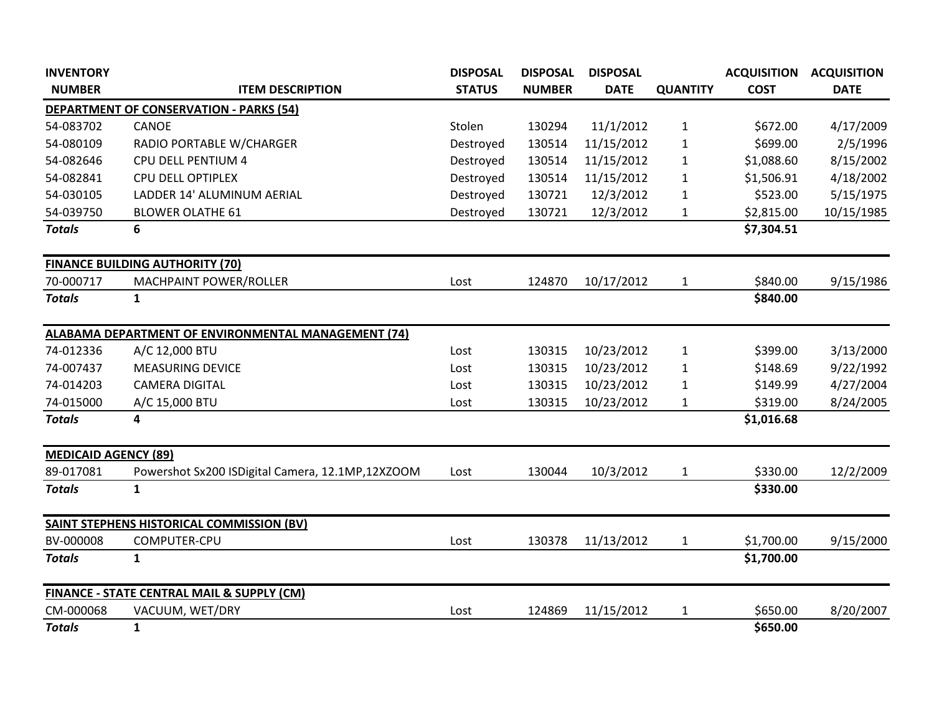| <b>INVENTORY</b>            |                                                       | <b>DISPOSAL</b> | <b>DISPOSAL</b> | <b>DISPOSAL</b> |                 | <b>ACQUISITION</b> | <b>ACQUISITION</b> |
|-----------------------------|-------------------------------------------------------|-----------------|-----------------|-----------------|-----------------|--------------------|--------------------|
| <b>NUMBER</b>               | <b>ITEM DESCRIPTION</b>                               | <b>STATUS</b>   | <b>NUMBER</b>   | <b>DATE</b>     | <b>QUANTITY</b> | <b>COST</b>        | <b>DATE</b>        |
|                             | <b>DEPARTMENT OF CONSERVATION - PARKS (54)</b>        |                 |                 |                 |                 |                    |                    |
| 54-083702                   | CANOE                                                 | Stolen          | 130294          | 11/1/2012       | $\mathbf{1}$    | \$672.00           | 4/17/2009          |
| 54-080109                   | RADIO PORTABLE W/CHARGER                              | Destroyed       | 130514          | 11/15/2012      | $\mathbf{1}$    | \$699.00           | 2/5/1996           |
| 54-082646                   | CPU DELL PENTIUM 4                                    | Destroyed       | 130514          | 11/15/2012      | 1               | \$1,088.60         | 8/15/2002          |
| 54-082841                   | <b>CPU DELL OPTIPLEX</b>                              | Destroyed       | 130514          | 11/15/2012      | $\mathbf{1}$    | \$1,506.91         | 4/18/2002          |
| 54-030105                   | LADDER 14' ALUMINUM AERIAL                            | Destroyed       | 130721          | 12/3/2012       | $\mathbf{1}$    | \$523.00           | 5/15/1975          |
| 54-039750                   | <b>BLOWER OLATHE 61</b>                               | Destroyed       | 130721          | 12/3/2012       | 1               | \$2,815.00         | 10/15/1985         |
| <b>Totals</b>               | 6                                                     |                 |                 |                 |                 | \$7,304.51         |                    |
|                             | <b>FINANCE BUILDING AUTHORITY (70)</b>                |                 |                 |                 |                 |                    |                    |
| 70-000717                   | MACHPAINT POWER/ROLLER                                | Lost            | 124870          | 10/17/2012      | $\mathbf{1}$    | \$840.00           | 9/15/1986          |
| <b>Totals</b>               | $\mathbf{1}$                                          |                 |                 |                 |                 | \$840.00           |                    |
|                             | ALABAMA DEPARTMENT OF ENVIRONMENTAL MANAGEMENT (74)   |                 |                 |                 |                 |                    |                    |
| 74-012336                   | A/C 12,000 BTU                                        | Lost            | 130315          | 10/23/2012      | $\mathbf{1}$    | \$399.00           | 3/13/2000          |
| 74-007437                   | <b>MEASURING DEVICE</b>                               | Lost            | 130315          | 10/23/2012      | $\mathbf{1}$    | \$148.69           | 9/22/1992          |
| 74-014203                   | <b>CAMERA DIGITAL</b>                                 | Lost            | 130315          | 10/23/2012      | 1               | \$149.99           | 4/27/2004          |
| 74-015000                   | A/C 15,000 BTU                                        | Lost            | 130315          | 10/23/2012      | 1               | \$319.00           | 8/24/2005          |
| <b>Totals</b>               | 4                                                     |                 |                 |                 |                 | \$1,016.68         |                    |
| <b>MEDICAID AGENCY (89)</b> |                                                       |                 |                 |                 |                 |                    |                    |
| 89-017081                   | Powershot Sx200 ISDigital Camera, 12.1MP,12XZOOM      | Lost            | 130044          | 10/3/2012       | 1               | \$330.00           | 12/2/2009          |
| <b>Totals</b>               | $\mathbf{1}$                                          |                 |                 |                 |                 | \$330.00           |                    |
|                             | <b>SAINT STEPHENS HISTORICAL COMMISSION (BV)</b>      |                 |                 |                 |                 |                    |                    |
| BV-000008                   | COMPUTER-CPU                                          | Lost            | 130378          | 11/13/2012      | $\mathbf{1}$    | \$1,700.00         | 9/15/2000          |
| <b>Totals</b>               | $\mathbf{1}$                                          |                 |                 |                 |                 | \$1,700.00         |                    |
|                             | <b>FINANCE - STATE CENTRAL MAIL &amp; SUPPLY (CM)</b> |                 |                 |                 |                 |                    |                    |
| CM-000068                   | VACUUM, WET/DRY                                       | Lost            | 124869          | 11/15/2012      | $\mathbf{1}$    | \$650.00           | 8/20/2007          |
| <b>Totals</b>               | $\mathbf{1}$                                          |                 |                 |                 |                 | \$650.00           |                    |